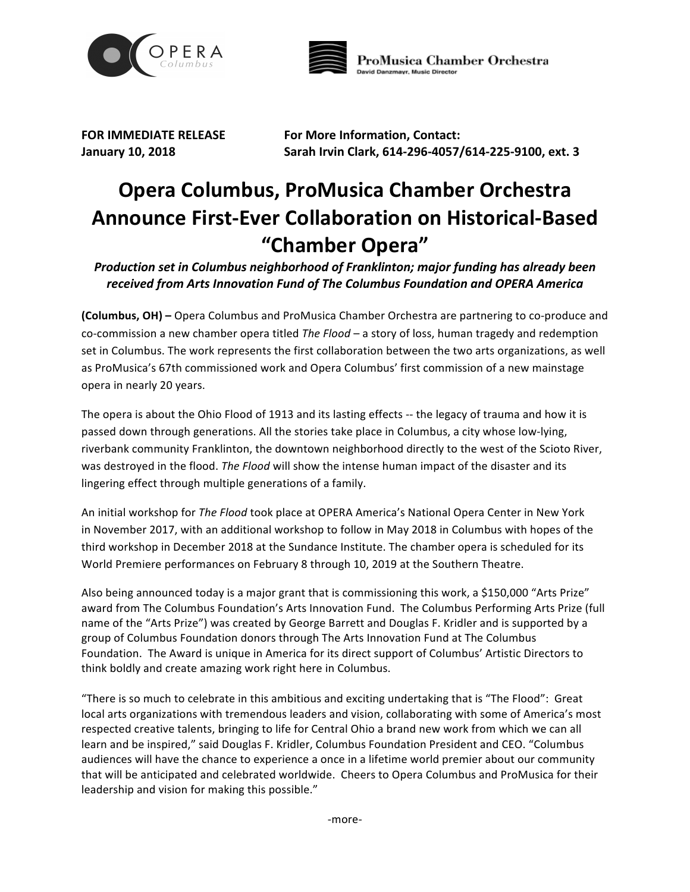



**FOR IMMEDIATE RELEASE For More Information, Contact: January 10, 2018 Sarah Irvin Clark, 614-296-4057/614-225-9100, ext. 3**

## **Opera Columbus, ProMusica Chamber Orchestra Announce First-Ever Collaboration on Historical-Based "Chamber Opera"**

*Production set in Columbus neighborhood of Franklinton; major funding has already been received from Arts Innovation Fund of The Columbus Foundation and OPERA America*

**(Columbus, OH) –** Opera Columbus and ProMusica Chamber Orchestra are partnering to co-produce and co-commission a new chamber opera titled *The Flood* – a story of loss, human tragedy and redemption set in Columbus. The work represents the first collaboration between the two arts organizations, as well as ProMusica's 67th commissioned work and Opera Columbus' first commission of a new mainstage opera in nearly 20 years.

The opera is about the Ohio Flood of 1913 and its lasting effects -- the legacy of trauma and how it is passed down through generations. All the stories take place in Columbus, a city whose low-lying, riverbank community Franklinton, the downtown neighborhood directly to the west of the Scioto River, was destroyed in the flood. *The Flood* will show the intense human impact of the disaster and its lingering effect through multiple generations of a family.

An initial workshop for *The Flood* took place at OPERA America's National Opera Center in New York in November 2017, with an additional workshop to follow in May 2018 in Columbus with hopes of the third workshop in December 2018 at the Sundance Institute. The chamber opera is scheduled for its World Premiere performances on February 8 through 10, 2019 at the Southern Theatre.

Also being announced today is a major grant that is commissioning this work, a \$150,000 "Arts Prize" award from The Columbus Foundation's Arts Innovation Fund. The Columbus Performing Arts Prize (full name of the "Arts Prize") was created by George Barrett and Douglas F. Kridler and is supported by a group of Columbus Foundation donors through The Arts Innovation Fund at The Columbus Foundation. The Award is unique in America for its direct support of Columbus' Artistic Directors to think boldly and create amazing work right here in Columbus.

"There is so much to celebrate in this ambitious and exciting undertaking that is "The Flood": Great local arts organizations with tremendous leaders and vision, collaborating with some of America's most respected creative talents, bringing to life for Central Ohio a brand new work from which we can all learn and be inspired," said Douglas F. Kridler, Columbus Foundation President and CEO. "Columbus audiences will have the chance to experience a once in a lifetime world premier about our community that will be anticipated and celebrated worldwide. Cheers to Opera Columbus and ProMusica for their leadership and vision for making this possible."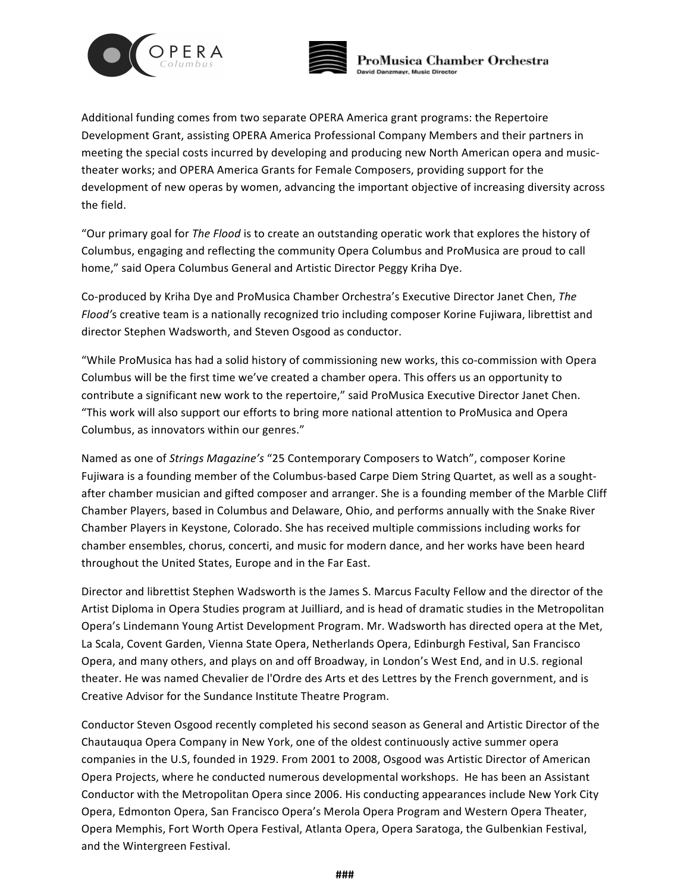



Additional funding comes from two separate OPERA America grant programs: the Repertoire Development Grant, assisting OPERA America Professional Company Members and their partners in meeting the special costs incurred by developing and producing new North American opera and musictheater works; and OPERA America Grants for Female Composers, providing support for the development of new operas by women, advancing the important objective of increasing diversity across the field.

"Our primary goal for *The Flood* is to create an outstanding operatic work that explores the history of Columbus, engaging and reflecting the community Opera Columbus and ProMusica are proud to call home," said Opera Columbus General and Artistic Director Peggy Kriha Dye.

Co-produced by Kriha Dye and ProMusica Chamber Orchestra's Executive Director Janet Chen, *The Flood'*s creative team is a nationally recognized trio including composer Korine Fujiwara, librettist and director Stephen Wadsworth, and Steven Osgood as conductor.

"While ProMusica has had a solid history of commissioning new works, this co-commission with Opera Columbus will be the first time we've created a chamber opera. This offers us an opportunity to contribute a significant new work to the repertoire," said ProMusica Executive Director Janet Chen. "This work will also support our efforts to bring more national attention to ProMusica and Opera Columbus, as innovators within our genres."

Named as one of *Strings Magazine's* "25 Contemporary Composers to Watch", composer Korine Fujiwara is a founding member of the Columbus-based Carpe Diem String Quartet, as well as a soughtafter chamber musician and gifted composer and arranger. She is a founding member of the Marble Cliff Chamber Players, based in Columbus and Delaware, Ohio, and performs annually with the Snake River Chamber Players in Keystone, Colorado. She has received multiple commissions including works for chamber ensembles, chorus, concerti, and music for modern dance, and her works have been heard throughout the United States, Europe and in the Far East.

Director and librettist Stephen Wadsworth is the James S. Marcus Faculty Fellow and the director of the Artist Diploma in Opera Studies program at Juilliard, and is head of dramatic studies in the Metropolitan Opera's Lindemann Young Artist Development Program. Mr. Wadsworth has directed opera at the Met, La Scala, Covent Garden, Vienna State Opera, Netherlands Opera, Edinburgh Festival, San Francisco Opera, and many others, and plays on and off Broadway, in London's West End, and in U.S. regional theater. He was named Chevalier de l'Ordre des Arts et des Lettres by the French government, and is Creative Advisor for the Sundance Institute Theatre Program.

Conductor Steven Osgood recently completed his second season as General and Artistic Director of the Chautauqua Opera Company in New York, one of the oldest continuously active summer opera companies in the U.S, founded in 1929. From 2001 to 2008, Osgood was Artistic Director of American Opera Projects, where he conducted numerous developmental workshops. He has been an Assistant Conductor with the Metropolitan Opera since 2006. His conducting appearances include New York City Opera, Edmonton Opera, San Francisco Opera's Merola Opera Program and Western Opera Theater, Opera Memphis, Fort Worth Opera Festival, Atlanta Opera, Opera Saratoga, the Gulbenkian Festival, and the Wintergreen Festival.